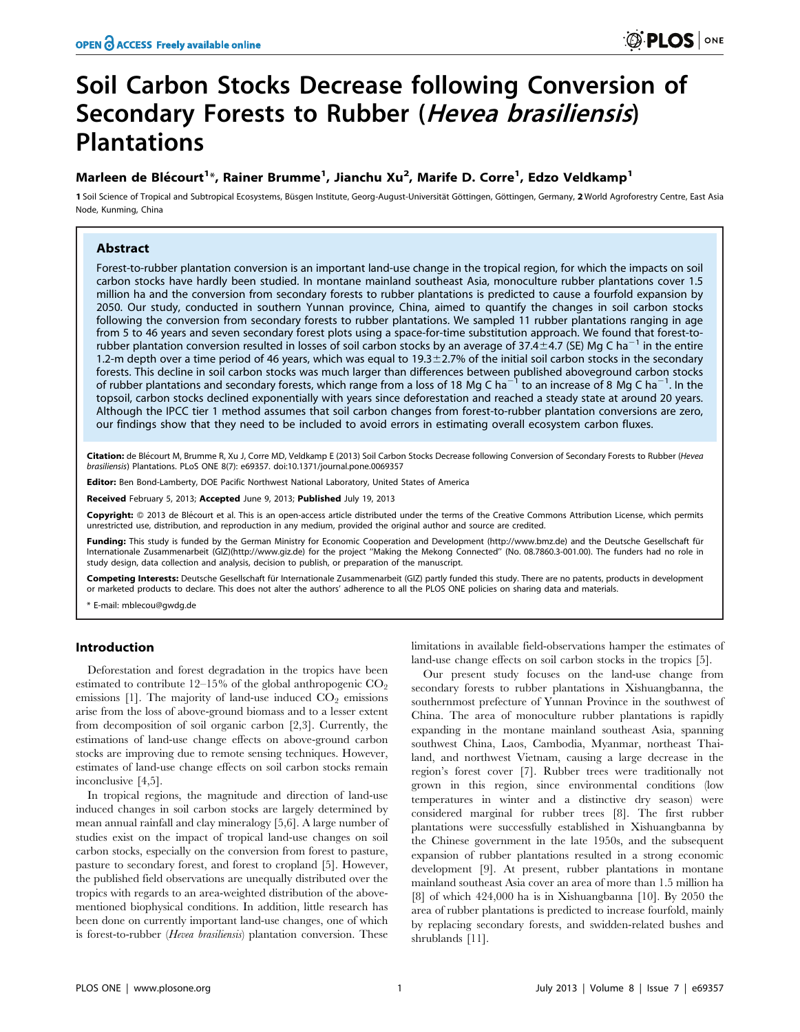# Soil Carbon Stocks Decrease following Conversion of Secondary Forests to Rubber (Hevea brasiliensis) **Plantations**

# Marleen de Blécourt<sup>1</sup>\*, Rainer Brumme<sup>1</sup>, Jianchu Xu<sup>2</sup>, Marife D. Corre<sup>1</sup>, Edzo Veldkamp<sup>1</sup>

1 Soil Science of Tropical and Subtropical Ecosystems, Büsgen Institute, Georg-August-Universität Göttingen, Göttingen, Germany, 2 World Agroforestry Centre, East Asia Node, Kunming, China

## Abstract

Forest-to-rubber plantation conversion is an important land-use change in the tropical region, for which the impacts on soil carbon stocks have hardly been studied. In montane mainland southeast Asia, monoculture rubber plantations cover 1.5 million ha and the conversion from secondary forests to rubber plantations is predicted to cause a fourfold expansion by 2050. Our study, conducted in southern Yunnan province, China, aimed to quantify the changes in soil carbon stocks following the conversion from secondary forests to rubber plantations. We sampled 11 rubber plantations ranging in age from 5 to 46 years and seven secondary forest plots using a space-for-time substitution approach. We found that forest-torubber plantation conversion resulted in losses of soil carbon stocks by an average of 37.4 $\pm$ 4.7 (SE) Mg C ha<sup>-1</sup> in the entire 1.2-m depth over a time period of 46 years, which was equal to  $19.3 \pm 2.7\%$  of the initial soil carbon stocks in the secondary forests. This decline in soil carbon stocks was much larger than differences between published aboveground carbon stocks<br>of rubber plantations and secondary forests, which range from a loss of 18 Mg C ha<sup>—1</sup> to an increase topsoil, carbon stocks declined exponentially with years since deforestation and reached a steady state at around 20 years. Although the IPCC tier 1 method assumes that soil carbon changes from forest-to-rubber plantation conversions are zero, our findings show that they need to be included to avoid errors in estimating overall ecosystem carbon fluxes.

Citation: de Blécourt M, Brumme R, Xu J, Corre MD, Veldkamp E (2013) Soil Carbon Stocks Decrease following Conversion of Secondary Forests to Rubber (Hevea brasiliensis) Plantations. PLoS ONE 8(7): e69357. doi:10.1371/journal.pone.0069357

Editor: Ben Bond-Lamberty, DOE Pacific Northwest National Laboratory, United States of America

Received February 5, 2013; Accepted June 9, 2013; Published July 19, 2013

Copyright: © 2013 de Blécourt et al. This is an open-access article distributed under the terms of the Creative Commons Attribution License, which permits unrestricted use, distribution, and reproduction in any medium, provided the original author and source are credited.

Funding: This study is funded by the German Ministry for Economic Cooperation and Development (http://www.bmz.de) and the Deutsche Gesellschaft für Internationale Zusammenarbeit (GIZ)(http://www.giz.de) for the project ''Making the Mekong Connected'' (No. 08.7860.3-001.00). The funders had no role in study design, data collection and analysis, decision to publish, or preparation of the manuscript.

Competing Interests: Deutsche Gesellschaft für Internationale Zusammenarbeit (GIZ) partly funded this study. There are no patents, products in development or marketed products to declare. This does not alter the authors' adherence to all the PLOS ONE policies on sharing data and materials.

E-mail: mblecou@gwdg.de

## Introduction

Deforestation and forest degradation in the tropics have been estimated to contribute  $12-15%$  of the global anthropogenic  $CO<sub>2</sub>$ emissions  $[1]$ . The majority of land-use induced  $CO<sub>2</sub>$  emissions arise from the loss of above-ground biomass and to a lesser extent from decomposition of soil organic carbon [2,3]. Currently, the estimations of land-use change effects on above-ground carbon stocks are improving due to remote sensing techniques. However, estimates of land-use change effects on soil carbon stocks remain inconclusive [4,5].

In tropical regions, the magnitude and direction of land-use induced changes in soil carbon stocks are largely determined by mean annual rainfall and clay mineralogy [5,6]. A large number of studies exist on the impact of tropical land-use changes on soil carbon stocks, especially on the conversion from forest to pasture, pasture to secondary forest, and forest to cropland [5]. However, the published field observations are unequally distributed over the tropics with regards to an area-weighted distribution of the abovementioned biophysical conditions. In addition, little research has been done on currently important land-use changes, one of which is forest-to-rubber (*Hevea brasiliensis*) plantation conversion. These

limitations in available field-observations hamper the estimates of land-use change effects on soil carbon stocks in the tropics [5].

Our present study focuses on the land-use change from secondary forests to rubber plantations in Xishuangbanna, the southernmost prefecture of Yunnan Province in the southwest of China. The area of monoculture rubber plantations is rapidly expanding in the montane mainland southeast Asia, spanning southwest China, Laos, Cambodia, Myanmar, northeast Thailand, and northwest Vietnam, causing a large decrease in the region's forest cover [7]. Rubber trees were traditionally not grown in this region, since environmental conditions (low temperatures in winter and a distinctive dry season) were considered marginal for rubber trees [8]. The first rubber plantations were successfully established in Xishuangbanna by the Chinese government in the late 1950s, and the subsequent expansion of rubber plantations resulted in a strong economic development [9]. At present, rubber plantations in montane mainland southeast Asia cover an area of more than 1.5 million ha [8] of which 424,000 ha is in Xishuangbanna [10]. By 2050 the area of rubber plantations is predicted to increase fourfold, mainly by replacing secondary forests, and swidden-related bushes and shrublands [11].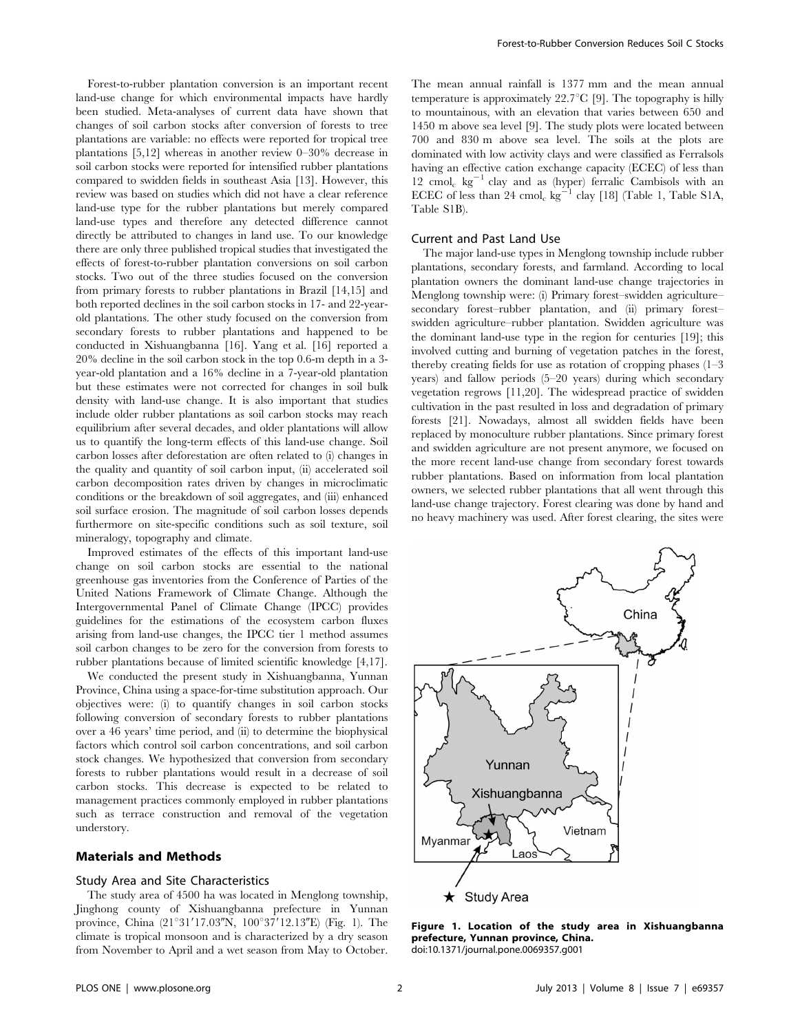Forest-to-rubber plantation conversion is an important recent land-use change for which environmental impacts have hardly been studied. Meta-analyses of current data have shown that changes of soil carbon stocks after conversion of forests to tree plantations are variable: no effects were reported for tropical tree plantations [5,12] whereas in another review 0–30% decrease in soil carbon stocks were reported for intensified rubber plantations compared to swidden fields in southeast Asia [13]. However, this review was based on studies which did not have a clear reference land-use type for the rubber plantations but merely compared land-use types and therefore any detected difference cannot directly be attributed to changes in land use. To our knowledge there are only three published tropical studies that investigated the effects of forest-to-rubber plantation conversions on soil carbon stocks. Two out of the three studies focused on the conversion from primary forests to rubber plantations in Brazil [14,15] and both reported declines in the soil carbon stocks in 17- and 22-yearold plantations. The other study focused on the conversion from secondary forests to rubber plantations and happened to be conducted in Xishuangbanna [16]. Yang et al. [16] reported a 20% decline in the soil carbon stock in the top 0.6-m depth in a 3 year-old plantation and a 16% decline in a 7-year-old plantation but these estimates were not corrected for changes in soil bulk density with land-use change. It is also important that studies include older rubber plantations as soil carbon stocks may reach equilibrium after several decades, and older plantations will allow us to quantify the long-term effects of this land-use change. Soil carbon losses after deforestation are often related to (i) changes in the quality and quantity of soil carbon input, (ii) accelerated soil carbon decomposition rates driven by changes in microclimatic conditions or the breakdown of soil aggregates, and (iii) enhanced soil surface erosion. The magnitude of soil carbon losses depends furthermore on site-specific conditions such as soil texture, soil mineralogy, topography and climate.

Improved estimates of the effects of this important land-use change on soil carbon stocks are essential to the national greenhouse gas inventories from the Conference of Parties of the United Nations Framework of Climate Change. Although the Intergovernmental Panel of Climate Change (IPCC) provides guidelines for the estimations of the ecosystem carbon fluxes arising from land-use changes, the IPCC tier 1 method assumes soil carbon changes to be zero for the conversion from forests to rubber plantations because of limited scientific knowledge [4,17].

We conducted the present study in Xishuangbanna, Yunnan Province, China using a space-for-time substitution approach. Our objectives were: (i) to quantify changes in soil carbon stocks following conversion of secondary forests to rubber plantations over a 46 years' time period, and (ii) to determine the biophysical factors which control soil carbon concentrations, and soil carbon stock changes. We hypothesized that conversion from secondary forests to rubber plantations would result in a decrease of soil carbon stocks. This decrease is expected to be related to management practices commonly employed in rubber plantations such as terrace construction and removal of the vegetation understory.

## Materials and Methods

#### Study Area and Site Characteristics

The study area of 4500 ha was located in Menglong township, Jinghong county of Xishuangbanna prefecture in Yunnan province, China  $(21^{\circ}31'17.03''N, 100^{\circ}37'12.13''E)$  (Fig. 1). The climate is tropical monsoon and is characterized by a dry season from November to April and a wet season from May to October.

The mean annual rainfall is 1377 mm and the mean annual temperature is approximately  $22.7^{\circ}C$  [9]. The topography is hilly to mountainous, with an elevation that varies between 650 and 1450 m above sea level [9]. The study plots were located between 700 and 830 m above sea level. The soils at the plots are dominated with low activity clays and were classified as Ferralsols having an effective cation exchange capacity (ECEC) of less than 12 cmol<sub>c</sub> kg<sup>-1</sup> clay and as (hyper) ferralic Cambisols with an ECEC of less than 24 cmol<sub>c</sub> kg<sup>-1</sup> clay [18] (Table 1, Table S1A, Table S1B).

#### Current and Past Land Use

The major land-use types in Menglong township include rubber plantations, secondary forests, and farmland. According to local plantation owners the dominant land-use change trajectories in Menglong township were: (i) Primary forest–swidden agriculture– secondary forest–rubber plantation, and (ii) primary forest– swidden agriculture–rubber plantation. Swidden agriculture was the dominant land-use type in the region for centuries [19]; this involved cutting and burning of vegetation patches in the forest, thereby creating fields for use as rotation of cropping phases (1–3 years) and fallow periods (5–20 years) during which secondary vegetation regrows [11,20]. The widespread practice of swidden cultivation in the past resulted in loss and degradation of primary forests [21]. Nowadays, almost all swidden fields have been replaced by monoculture rubber plantations. Since primary forest and swidden agriculture are not present anymore, we focused on the more recent land-use change from secondary forest towards rubber plantations. Based on information from local plantation owners, we selected rubber plantations that all went through this land-use change trajectory. Forest clearing was done by hand and no heavy machinery was used. After forest clearing, the sites were



Figure 1. Location of the study area in Xishuangbanna prefecture, Yunnan province, China. doi:10.1371/journal.pone.0069357.g001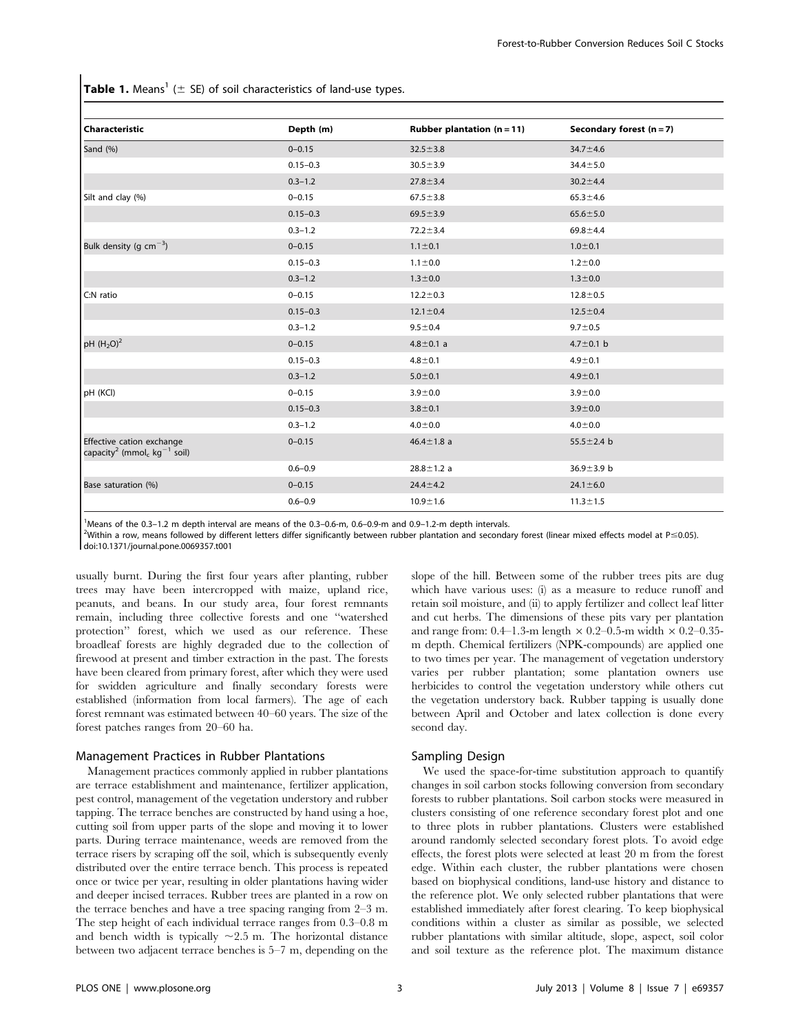**Table 1.** Means<sup>1</sup> ( $\pm$  SE) of soil characteristics of land-use types.

| Characteristic                                                                               | Depth (m)    | Rubber plantation $(n = 11)$ | Secondary forest $(n = 7)$ |
|----------------------------------------------------------------------------------------------|--------------|------------------------------|----------------------------|
| Sand (%)                                                                                     | $0 - 0.15$   | $32.5 \pm 3.8$               | $34.7 \pm 4.6$             |
|                                                                                              | $0.15 - 0.3$ | $30.5 \pm 3.9$               | $34.4 \pm 5.0$             |
|                                                                                              | $0.3 - 1.2$  | $27.8 \pm 3.4$               | $30.2 \pm 4.4$             |
| Silt and clay (%)                                                                            | $0 - 0.15$   | $67.5 \pm 3.8$               | $65.3 \pm 4.6$             |
|                                                                                              | $0.15 - 0.3$ | $69.5 \pm 3.9$               | $65.6 \pm 5.0$             |
|                                                                                              | $0.3 - 1.2$  | $72.2 \pm 3.4$               | $69.8 \pm 4.4$             |
| Bulk density (g $cm^{-3}$ )                                                                  | $0 - 0.15$   | $1.1 \pm 0.1$                | $1.0 + 0.1$                |
|                                                                                              | $0.15 - 0.3$ | $1.1 \pm 0.0$                | $1.2 + 0.0$                |
|                                                                                              | $0.3 - 1.2$  | $1.3 \pm 0.0$                | $1.3 + 0.0$                |
| C:N ratio                                                                                    | $0 - 0.15$   | $12.2 \pm 0.3$               | $12.8 \pm 0.5$             |
|                                                                                              | $0.15 - 0.3$ | $12.1 \pm 0.4$               | $12.5 \pm 0.4$             |
|                                                                                              | $0.3 - 1.2$  | $9.5 \pm 0.4$                | $9.7 \pm 0.5$              |
| pH $(H_2O)^2$                                                                                | $0 - 0.15$   | $4.8 \pm 0.1$ a              | 4.7 $\pm$ 0.1 b            |
|                                                                                              | $0.15 - 0.3$ | $4.8 \pm 0.1$                | $4.9 \pm 0.1$              |
|                                                                                              | $0.3 - 1.2$  | $5.0 \pm 0.1$                | $4.9 \pm 0.1$              |
| pH (KCl)                                                                                     | $0 - 0.15$   | $3.9 + 0.0$                  | $3.9 + 0.0$                |
|                                                                                              | $0.15 - 0.3$ | $3.8 + 0.1$                  | $3.9 + 0.0$                |
|                                                                                              | $0.3 - 1.2$  | $4.0 + 0.0$                  | $4.0 + 0.0$                |
| Effective cation exchange<br>capacity <sup>2</sup> (mmol <sub>c</sub> kg <sup>-1</sup> soil) | $0 - 0.15$   | $46.4 \pm 1.8$ a             | 55.5 $\pm$ 2.4 b           |
|                                                                                              | $0.6 - 0.9$  | $28.8 \pm 1.2$ a             | 36.9 $\pm$ 3.9 b           |
| Base saturation (%)                                                                          | $0 - 0.15$   | $24.4 \pm 4.2$               | $24.1 \pm 6.0$             |
|                                                                                              | $0.6 - 0.9$  | $10.9 + 1.6$                 | $11.3 \pm 1.5$             |

1 Means of the 0.3–1.2 m depth interval are means of the 0.3–0.6-m, 0.6–0.9-m and 0.9–1.2-m depth intervals.

<sup>2</sup>Within a row, means followed by different letters differ significantly between rubber plantation and secondary forest (linear mixed effects model at P≤0.05). doi:10.1371/journal.pone.0069357.t001

usually burnt. During the first four years after planting, rubber trees may have been intercropped with maize, upland rice, peanuts, and beans. In our study area, four forest remnants remain, including three collective forests and one ''watershed protection'' forest, which we used as our reference. These broadleaf forests are highly degraded due to the collection of firewood at present and timber extraction in the past. The forests have been cleared from primary forest, after which they were used for swidden agriculture and finally secondary forests were established (information from local farmers). The age of each forest remnant was estimated between 40–60 years. The size of the forest patches ranges from 20–60 ha.

#### Management Practices in Rubber Plantations

Management practices commonly applied in rubber plantations are terrace establishment and maintenance, fertilizer application, pest control, management of the vegetation understory and rubber tapping. The terrace benches are constructed by hand using a hoe, cutting soil from upper parts of the slope and moving it to lower parts. During terrace maintenance, weeds are removed from the terrace risers by scraping off the soil, which is subsequently evenly distributed over the entire terrace bench. This process is repeated once or twice per year, resulting in older plantations having wider and deeper incised terraces. Rubber trees are planted in a row on the terrace benches and have a tree spacing ranging from 2–3 m. The step height of each individual terrace ranges from 0.3–0.8 m and bench width is typically  $\sim$ 2.5 m. The horizontal distance between two adjacent terrace benches is 5–7 m, depending on the slope of the hill. Between some of the rubber trees pits are dug which have various uses: (i) as a measure to reduce runoff and retain soil moisture, and (ii) to apply fertilizer and collect leaf litter and cut herbs. The dimensions of these pits vary per plantation and range from: 0.4–1.3-m length  $\times$  0.2–0.5-m width  $\times$  0.2–0.35m depth. Chemical fertilizers (NPK-compounds) are applied one to two times per year. The management of vegetation understory varies per rubber plantation; some plantation owners use herbicides to control the vegetation understory while others cut the vegetation understory back. Rubber tapping is usually done between April and October and latex collection is done every second day.

#### Sampling Design

We used the space-for-time substitution approach to quantify changes in soil carbon stocks following conversion from secondary forests to rubber plantations. Soil carbon stocks were measured in clusters consisting of one reference secondary forest plot and one to three plots in rubber plantations. Clusters were established around randomly selected secondary forest plots. To avoid edge effects, the forest plots were selected at least 20 m from the forest edge. Within each cluster, the rubber plantations were chosen based on biophysical conditions, land-use history and distance to the reference plot. We only selected rubber plantations that were established immediately after forest clearing. To keep biophysical conditions within a cluster as similar as possible, we selected rubber plantations with similar altitude, slope, aspect, soil color and soil texture as the reference plot. The maximum distance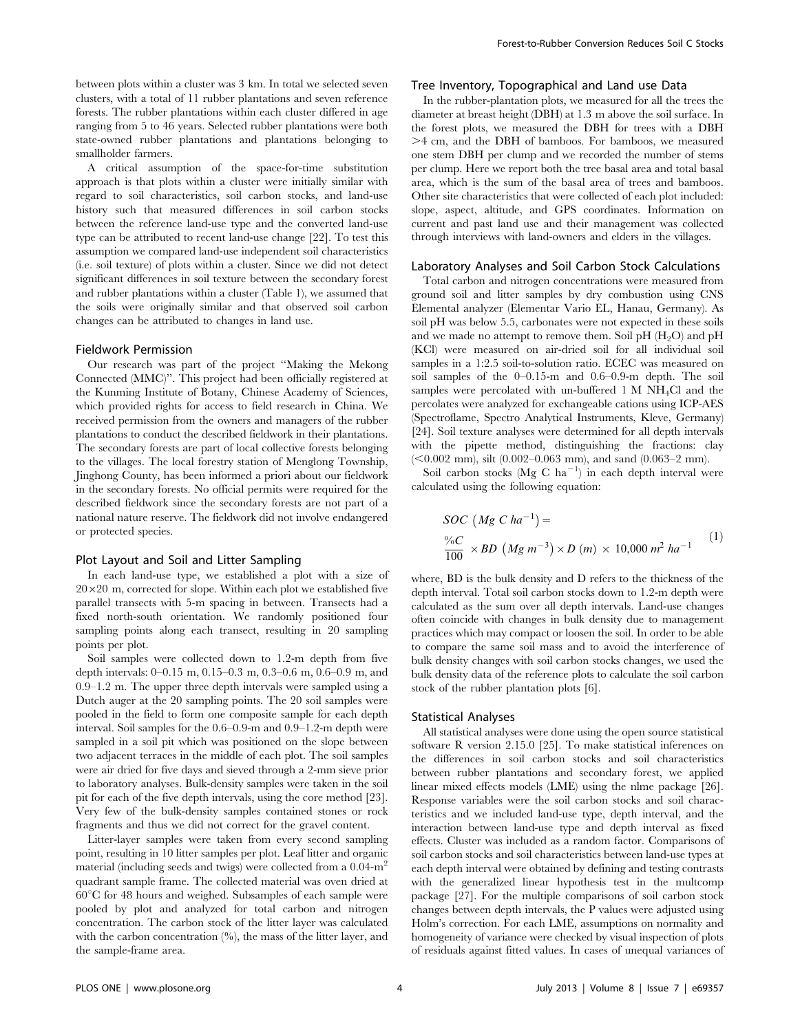between plots within a cluster was 3 km. In total we selected seven clusters, with a total of 11 rubber plantations and seven reference forests. The rubber plantations within each cluster differed in age ranging from 5 to 46 years. Selected rubber plantations were both state-owned rubber plantations and plantations belonging to smallholder farmers.

A critical assumption of the space-for-time substitution approach is that plots within a cluster were initially similar with regard to soil characteristics, soil carbon stocks, and land-use history such that measured differences in soil carbon stocks between the reference land-use type and the converted land-use type can be attributed to recent land-use change [22]. To test this assumption we compared land-use independent soil characteristics (i.e. soil texture) of plots within a cluster. Since we did not detect significant differences in soil texture between the secondary forest and rubber plantations within a cluster (Table 1), we assumed that the soils were originally similar and that observed soil carbon changes can be attributed to changes in land use.

#### Fieldwork Permission

Our research was part of the project ''Making the Mekong Connected (MMC)''. This project had been officially registered at the Kunming Institute of Botany, Chinese Academy of Sciences, which provided rights for access to field research in China. We received permission from the owners and managers of the rubber plantations to conduct the described fieldwork in their plantations. The secondary forests are part of local collective forests belonging to the villages. The local forestry station of Menglong Township, Jinghong County, has been informed a priori about our fieldwork in the secondary forests. No official permits were required for the described fieldwork since the secondary forests are not part of a national nature reserve. The fieldwork did not involve endangered or protected species.

#### Plot Layout and Soil and Litter Sampling

In each land-use type, we established a plot with a size of  $20\times20$  m, corrected for slope. Within each plot we established five parallel transects with 5-m spacing in between. Transects had a fixed north-south orientation. We randomly positioned four sampling points along each transect, resulting in 20 sampling points per plot.

Soil samples were collected down to 1.2-m depth from five depth intervals: 0–0.15 m, 0.15–0.3 m, 0.3–0.6 m, 0.6–0.9 m, and 0.9–1.2 m. The upper three depth intervals were sampled using a Dutch auger at the 20 sampling points. The 20 soil samples were pooled in the field to form one composite sample for each depth interval. Soil samples for the 0.6–0.9-m and 0.9–1.2-m depth were sampled in a soil pit which was positioned on the slope between two adjacent terraces in the middle of each plot. The soil samples were air dried for five days and sieved through a 2-mm sieve prior to laboratory analyses. Bulk-density samples were taken in the soil pit for each of the five depth intervals, using the core method [23]. Very few of the bulk-density samples contained stones or rock fragments and thus we did not correct for the gravel content.

Litter-layer samples were taken from every second sampling point, resulting in 10 litter samples per plot. Leaf litter and organic material (including seeds and twigs) were collected from a 0.04-m<sup>2</sup> quadrant sample frame. The collected material was oven dried at  $60^{\circ}$ C for 48 hours and weighed. Subsamples of each sample were pooled by plot and analyzed for total carbon and nitrogen concentration. The carbon stock of the litter layer was calculated with the carbon concentration  $(%)$ , the mass of the litter layer, and the sample-frame area.

#### Tree Inventory, Topographical and Land use Data

In the rubber-plantation plots, we measured for all the trees the diameter at breast height (DBH) at 1.3 m above the soil surface. In the forest plots, we measured the DBH for trees with a DBH  $>4$  cm, and the DBH of bamboos. For bamboos, we measured one stem DBH per clump and we recorded the number of stems per clump. Here we report both the tree basal area and total basal area, which is the sum of the basal area of trees and bamboos. Other site characteristics that were collected of each plot included: slope, aspect, altitude, and GPS coordinates. Information on current and past land use and their management was collected through interviews with land-owners and elders in the villages.

#### Laboratory Analyses and Soil Carbon Stock Calculations

Total carbon and nitrogen concentrations were measured from ground soil and litter samples by dry combustion using CNS Elemental analyzer (Elementar Vario EL, Hanau, Germany). As soil pH was below 5.5, carbonates were not expected in these soils and we made no attempt to remove them. Soil pH  $(H<sub>2</sub>O)$  and pH (KCl) were measured on air-dried soil for all individual soil samples in a 1:2.5 soil-to-solution ratio. ECEC was measured on soil samples of the 0–0.15-m and 0.6–0.9-m depth. The soil samples were percolated with un-buffered 1 M NH4Cl and the percolates were analyzed for exchangeable cations using ICP-AES (Spectroflame, Spectro Analytical Instruments, Kleve, Germany) [24]. Soil texture analyses were determined for all depth intervals with the pipette method, distinguishing the fractions: clay  $(<0.002$  mm), silt  $(0.002-0.063$  mm), and sand  $(0.063-2$  mm).

Soil carbon stocks (Mg C ha<sup>-1</sup>) in each depth interval were calculated using the following equation:

$$
SOC (Mg C ha^{-1}) =
$$
  

$$
\frac{\%C}{100} \times BD (Mg m^{-3}) \times D (m) \times 10,000 m^2 ha^{-1}
$$
 (1)

where, BD is the bulk density and D refers to the thickness of the depth interval. Total soil carbon stocks down to 1.2-m depth were calculated as the sum over all depth intervals. Land-use changes often coincide with changes in bulk density due to management practices which may compact or loosen the soil. In order to be able to compare the same soil mass and to avoid the interference of bulk density changes with soil carbon stocks changes, we used the bulk density data of the reference plots to calculate the soil carbon stock of the rubber plantation plots [6].

## Statistical Analyses

All statistical analyses were done using the open source statistical software R version 2.15.0 [25]. To make statistical inferences on the differences in soil carbon stocks and soil characteristics between rubber plantations and secondary forest, we applied linear mixed effects models (LME) using the nlme package [26]. Response variables were the soil carbon stocks and soil characteristics and we included land-use type, depth interval, and the interaction between land-use type and depth interval as fixed effects. Cluster was included as a random factor. Comparisons of soil carbon stocks and soil characteristics between land-use types at each depth interval were obtained by defining and testing contrasts with the generalized linear hypothesis test in the multcomp package [27]. For the multiple comparisons of soil carbon stock changes between depth intervals, the P values were adjusted using Holm's correction. For each LME, assumptions on normality and homogeneity of variance were checked by visual inspection of plots of residuals against fitted values. In cases of unequal variances of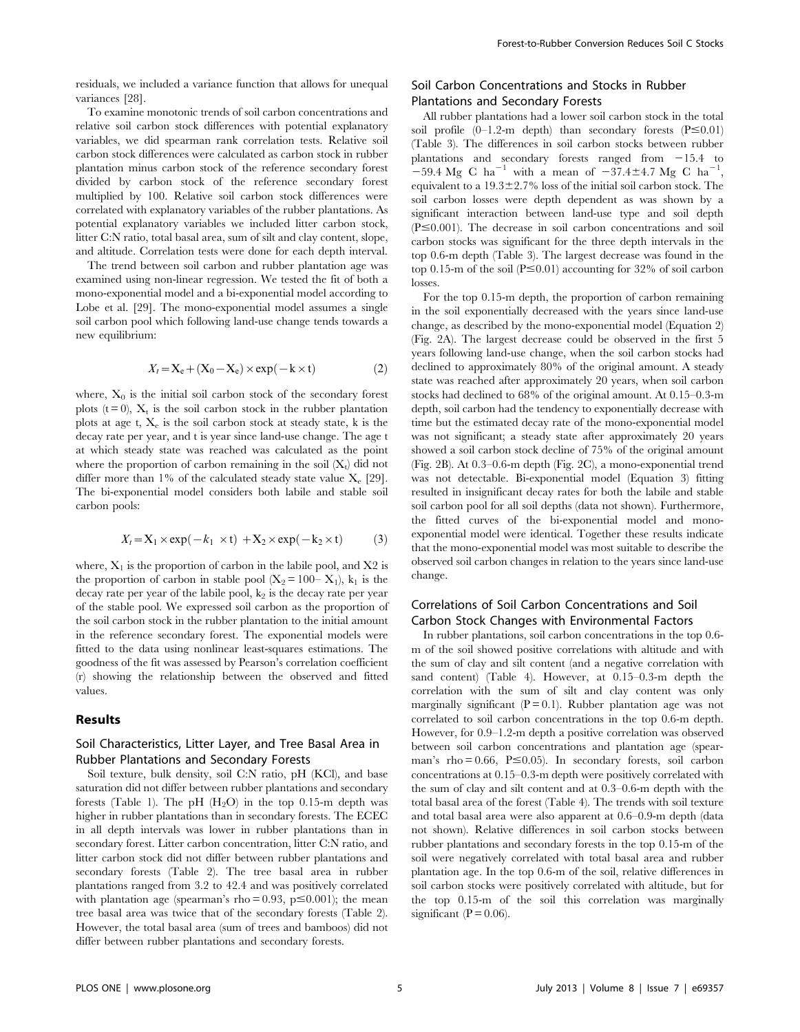residuals, we included a variance function that allows for unequal variances [28].

To examine monotonic trends of soil carbon concentrations and relative soil carbon stock differences with potential explanatory variables, we did spearman rank correlation tests. Relative soil carbon stock differences were calculated as carbon stock in rubber plantation minus carbon stock of the reference secondary forest divided by carbon stock of the reference secondary forest multiplied by 100. Relative soil carbon stock differences were correlated with explanatory variables of the rubber plantations. As potential explanatory variables we included litter carbon stock, litter C:N ratio, total basal area, sum of silt and clay content, slope, and altitude. Correlation tests were done for each depth interval.

The trend between soil carbon and rubber plantation age was examined using non-linear regression. We tested the fit of both a mono-exponential model and a bi-exponential model according to Lobe et al. [29]. The mono-exponential model assumes a single soil carbon pool which following land-use change tends towards a new equilibrium:

$$
X_t = \mathbf{X}_e + (\mathbf{X}_0 - \mathbf{X}_e) \times \exp(-\mathbf{k} \times \mathbf{t})
$$
 (2)

where,  $X_0$  is the initial soil carbon stock of the secondary forest plots ( $t = 0$ ),  $X_t$  is the soil carbon stock in the rubber plantation plots at age t,  $X_e$  is the soil carbon stock at steady state, k is the decay rate per year, and t is year since land-use change. The age t at which steady state was reached was calculated as the point where the proportion of carbon remaining in the soil  $(X_t)$  did not differ more than 1% of the calculated steady state value  $X_e$  [29]. The bi-exponential model considers both labile and stable soil carbon pools:

$$
X_t = \mathbf{X}_1 \times \exp(-k_1 \times t) + \mathbf{X}_2 \times \exp(-k_2 \times t)
$$
 (3)

where,  $X_1$  is the proportion of carbon in the labile pool, and  $X2$  is the proportion of carbon in stable pool  $(X_2 = 100 - X_1)$ ,  $k_1$  is the decay rate per year of the labile pool,  $k_2$  is the decay rate per year of the stable pool. We expressed soil carbon as the proportion of the soil carbon stock in the rubber plantation to the initial amount in the reference secondary forest. The exponential models were fitted to the data using nonlinear least-squares estimations. The goodness of the fit was assessed by Pearson's correlation coefficient (r) showing the relationship between the observed and fitted values.

### Results

## Soil Characteristics, Litter Layer, and Tree Basal Area in Rubber Plantations and Secondary Forests

Soil texture, bulk density, soil C:N ratio, pH (KCl), and base saturation did not differ between rubber plantations and secondary forests (Table 1). The pH  $(H<sub>2</sub>O)$  in the top 0.15-m depth was higher in rubber plantations than in secondary forests. The ECEC in all depth intervals was lower in rubber plantations than in secondary forest. Litter carbon concentration, litter C:N ratio, and litter carbon stock did not differ between rubber plantations and secondary forests (Table 2). The tree basal area in rubber plantations ranged from 3.2 to 42.4 and was positively correlated with plantation age (spearman's rho = 0.93,  $p \le 0.001$ ); the mean tree basal area was twice that of the secondary forests (Table 2). However, the total basal area (sum of trees and bamboos) did not differ between rubber plantations and secondary forests.

## Soil Carbon Concentrations and Stocks in Rubber Plantations and Secondary Forests

All rubber plantations had a lower soil carbon stock in the total soil profile  $(0-1.2-m$  depth) than secondary forests  $(P \le 0.01)$ (Table 3). The differences in soil carbon stocks between rubber plantations and secondary forests ranged from  $-15.4$  to  $-59.4 \text{ Mg C} \text{ ha}^{-1}$  with a mean of  $-37.4 \pm 4.7 \text{ Mg C} \text{ ha}^{-1}$ , equivalent to a  $19.3\pm2.7\%$  loss of the initial soil carbon stock. The soil carbon losses were depth dependent as was shown by a significant interaction between land-use type and soil depth  $(P \le 0.001)$ . The decrease in soil carbon concentrations and soil carbon stocks was significant for the three depth intervals in the top 0.6-m depth (Table 3). The largest decrease was found in the top 0.15-m of the soil ( $P \le 0.01$ ) accounting for 32% of soil carbon losses.

For the top 0.15-m depth, the proportion of carbon remaining in the soil exponentially decreased with the years since land-use change, as described by the mono-exponential model (Equation 2) (Fig. 2A). The largest decrease could be observed in the first 5 years following land-use change, when the soil carbon stocks had declined to approximately 80% of the original amount. A steady state was reached after approximately 20 years, when soil carbon stocks had declined to 68% of the original amount. At 0.15–0.3-m depth, soil carbon had the tendency to exponentially decrease with time but the estimated decay rate of the mono-exponential model was not significant; a steady state after approximately 20 years showed a soil carbon stock decline of 75% of the original amount (Fig. 2B). At 0.3–0.6-m depth (Fig. 2C), a mono-exponential trend was not detectable. Bi-exponential model (Equation 3) fitting resulted in insignificant decay rates for both the labile and stable soil carbon pool for all soil depths (data not shown). Furthermore, the fitted curves of the bi-exponential model and monoexponential model were identical. Together these results indicate that the mono-exponential model was most suitable to describe the observed soil carbon changes in relation to the years since land-use change.

## Correlations of Soil Carbon Concentrations and Soil Carbon Stock Changes with Environmental Factors

In rubber plantations, soil carbon concentrations in the top 0.6 m of the soil showed positive correlations with altitude and with the sum of clay and silt content (and a negative correlation with sand content) (Table 4). However, at 0.15–0.3-m depth the correlation with the sum of silt and clay content was only marginally significant  $(P = 0.1)$ . Rubber plantation age was not correlated to soil carbon concentrations in the top 0.6-m depth. However, for 0.9–1.2-m depth a positive correlation was observed between soil carbon concentrations and plantation age (spearman's rho  $= 0.66$ ,  $P \le 0.05$ ). In secondary forests, soil carbon concentrations at 0.15–0.3-m depth were positively correlated with the sum of clay and silt content and at 0.3–0.6-m depth with the total basal area of the forest (Table 4). The trends with soil texture and total basal area were also apparent at 0.6–0.9-m depth (data not shown). Relative differences in soil carbon stocks between rubber plantations and secondary forests in the top 0.15-m of the soil were negatively correlated with total basal area and rubber plantation age. In the top 0.6-m of the soil, relative differences in soil carbon stocks were positively correlated with altitude, but for the top 0.15-m of the soil this correlation was marginally significant ( $P = 0.06$ ).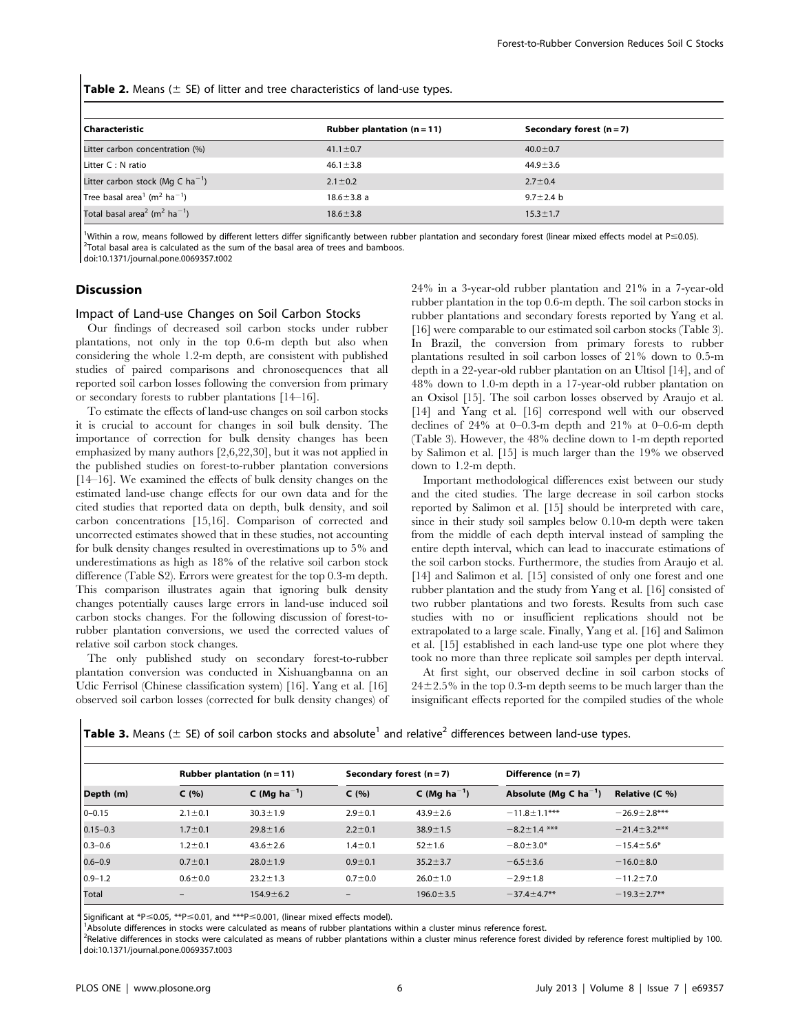**Table 2.** Means ( $\pm$  SE) of litter and tree characteristics of land-use types.

| l Characteristic                                                 | Rubber plantation $(n = 11)$ | Secondary forest $(n=7)$ |  |  |
|------------------------------------------------------------------|------------------------------|--------------------------|--|--|
| Litter carbon concentration (%)                                  | $41.1 \pm 0.7$               | $40.0 \pm 0.7$           |  |  |
| Litter C : N ratio                                               | $46.1 \pm 3.8$               | $44.9 \pm 3.6$           |  |  |
| Litter carbon stock (Mg C $ha^{-1}$ )                            | $2.1 \pm 0.2$                | $2.7 \pm 0.4$            |  |  |
| Tree basal area <sup>1</sup> (m <sup>2</sup> ha <sup>-1</sup> )  | $18.6 \pm 3.8$ a             | $9.7 \pm 2.4$ b          |  |  |
| Total basal area <sup>2</sup> (m <sup>2</sup> ha <sup>-1</sup> ) | $18.6 \pm 3.8$               | $15.3 \pm 1.7$           |  |  |

<sup>1</sup>Within a row, means followed by different letters differ significantly between rubber plantation and secondary forest (linear mixed effects model at  $P \le 0.05$ ).  $2$ Total basal area is calculated as the sum of the basal area of trees and bamboos. doi:10.1371/journal.pone.0069357.t002

#### **Discussion**

 $\mathbf{I}$ 

#### Impact of Land-use Changes on Soil Carbon Stocks

Our findings of decreased soil carbon stocks under rubber plantations, not only in the top 0.6-m depth but also when considering the whole 1.2-m depth, are consistent with published studies of paired comparisons and chronosequences that all reported soil carbon losses following the conversion from primary or secondary forests to rubber plantations [14–16].

To estimate the effects of land-use changes on soil carbon stocks it is crucial to account for changes in soil bulk density. The importance of correction for bulk density changes has been emphasized by many authors [2,6,22,30], but it was not applied in the published studies on forest-to-rubber plantation conversions [14–16]. We examined the effects of bulk density changes on the estimated land-use change effects for our own data and for the cited studies that reported data on depth, bulk density, and soil carbon concentrations [15,16]. Comparison of corrected and uncorrected estimates showed that in these studies, not accounting for bulk density changes resulted in overestimations up to 5% and underestimations as high as 18% of the relative soil carbon stock difference (Table S2). Errors were greatest for the top 0.3-m depth. This comparison illustrates again that ignoring bulk density changes potentially causes large errors in land-use induced soil carbon stocks changes. For the following discussion of forest-torubber plantation conversions, we used the corrected values of relative soil carbon stock changes.

The only published study on secondary forest-to-rubber plantation conversion was conducted in Xishuangbanna on an Udic Ferrisol (Chinese classification system) [16]. Yang et al. [16] observed soil carbon losses (corrected for bulk density changes) of 24% in a 3-year-old rubber plantation and 21% in a 7-year-old rubber plantation in the top 0.6-m depth. The soil carbon stocks in rubber plantations and secondary forests reported by Yang et al. [16] were comparable to our estimated soil carbon stocks (Table 3). In Brazil, the conversion from primary forests to rubber plantations resulted in soil carbon losses of 21% down to 0.5-m depth in a 22-year-old rubber plantation on an Ultisol [14], and of 48% down to 1.0-m depth in a 17-year-old rubber plantation on an Oxisol [15]. The soil carbon losses observed by Araujo et al. [14] and Yang et al. [16] correspond well with our observed declines of 24% at 0–0.3-m depth and 21% at 0–0.6-m depth (Table 3). However, the 48% decline down to 1-m depth reported by Salimon et al. [15] is much larger than the 19% we observed down to 1.2-m depth.

Important methodological differences exist between our study and the cited studies. The large decrease in soil carbon stocks reported by Salimon et al. [15] should be interpreted with care, since in their study soil samples below 0.10-m depth were taken from the middle of each depth interval instead of sampling the entire depth interval, which can lead to inaccurate estimations of the soil carbon stocks. Furthermore, the studies from Araujo et al. [14] and Salimon et al. [15] consisted of only one forest and one rubber plantation and the study from Yang et al. [16] consisted of two rubber plantations and two forests. Results from such case studies with no or insufficient replications should not be extrapolated to a large scale. Finally, Yang et al. [16] and Salimon et al. [15] established in each land-use type one plot where they took no more than three replicate soil samples per depth interval.

At first sight, our observed decline in soil carbon stocks of  $24\pm2.5\%$  in the top 0.3-m depth seems to be much larger than the insignificant effects reported for the compiled studies of the whole

|  |  |  |  |  | <b>Table 3.</b> Means ( $\pm$ SE) of soil carbon stocks and absolute <sup>1</sup> and relative <sup>2</sup> differences between land-use types. |  |  |
|--|--|--|--|--|-------------------------------------------------------------------------------------------------------------------------------------------------|--|--|
|  |  |  |  |  |                                                                                                                                                 |  |  |
|  |  |  |  |  |                                                                                                                                                 |  |  |

|              |               | Rubber plantation $(n = 11)$ |                          | Secondary forest $(n = 7)$ | Difference $(n=7)$         |                     |  |
|--------------|---------------|------------------------------|--------------------------|----------------------------|----------------------------|---------------------|--|
| Depth (m)    | C(%)          | C (Mg $ha^{-1}$ )            | C(%)                     | C (Mg $ha^{-1}$ )          | Absolute (Mg C $ha^{-1}$ ) | Relative $(C \%$ )  |  |
| $0 - 0.15$   | $2.1 \pm 0.1$ | $30.3 \pm 1.9$               | $2.9 \pm 0.1$            | $43.9 \pm 2.6$             | $-11.8 \pm 1.1***$         | $-26.9 \pm 2.8$ *** |  |
| $0.15 - 0.3$ | $1.7 \pm 0.1$ | $29.8 \pm 1.6$               | $2.2 \pm 0.1$            | $38.9 \pm 1.5$             | $-8.2 \pm 1.4$ ***         | $-21.4 \pm 3.2***$  |  |
| $0.3 - 0.6$  | $1.2 \pm 0.1$ | $43.6 \pm 2.6$               | $1.4 + 0.1$              | $52 \pm 1.6$               | $-8.0 \pm 3.0*$            | $-15.4 \pm 5.6*$    |  |
| $0.6 - 0.9$  | $0.7 \pm 0.1$ | $28.0 \pm 1.9$               | $0.9 + 0.1$              | $35.2 \pm 3.7$             | $-6.5 \pm 3.6$             | $-16.0 \pm 8.0$     |  |
| $0.9 - 1.2$  | $0.6 + 0.0$   | $23.2 \pm 1.3$               | $0.7 + 0.0$              | $26.0 \pm 1.0$             | $-2.9 \pm 1.8$             | $-11.2 \pm 7.0$     |  |
| Total        |               | $154.9 \pm 6.2$              | $\overline{\phantom{m}}$ | $196.0 \pm 3.5$            | $-37.4 \pm 4.7$ **         | $-19.3 \pm 2.7$ **  |  |

Significant at \*P  $\leq$  0.05, \*\*P  $\leq$  0.01, and \*\*\*P  $\leq$  0.001, (linear mixed effects model).

<sup>1</sup>Absolute differences in stocks were calculated as means of rubber plantations within a cluster minus reference forest.

<sup>2</sup>Relative differences in stocks were calculated as means of rubber plantations within a cluster minus reference forest divided by reference forest multiplied by 100. doi:10.1371/journal.pone.0069357.t003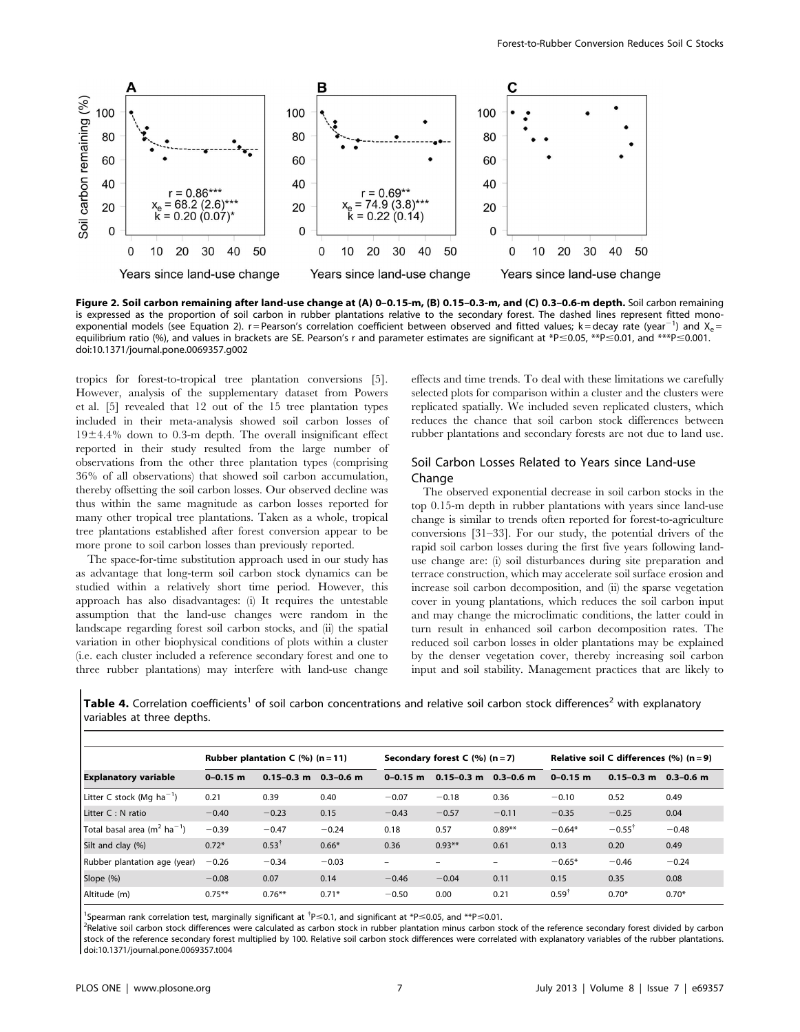

Figure 2. Soil carbon remaining after land-use change at (A) 0–0.15-m, (B) 0.15–0.3-m, and (C) 0.3–0.6-m depth. Soil carbon remaining is expressed as the proportion of soil carbon in rubber plantations relative to the secondary forest. The dashed lines represent fitted monoexponential models (see Equation 2). r=Pearson's correlation coefficient between observed and fitted values; k=decay rate (year<sup>-1</sup>) and X<sub>e</sub>= equilibrium ratio (%), and values in brackets are SE. Pearson's r and parameter estimates are significant at \*P $\leq$ 0.05, \*\*P $\leq$ 0.01, and \*\*\*P $\leq$ 0.001. doi:10.1371/journal.pone.0069357.g002

tropics for forest-to-tropical tree plantation conversions [5]. However, analysis of the supplementary dataset from Powers et al. [5] revealed that 12 out of the 15 tree plantation types included in their meta-analysis showed soil carbon losses of  $19±4.4%$  down to 0.3-m depth. The overall insignificant effect reported in their study resulted from the large number of observations from the other three plantation types (comprising 36% of all observations) that showed soil carbon accumulation, thereby offsetting the soil carbon losses. Our observed decline was thus within the same magnitude as carbon losses reported for many other tropical tree plantations. Taken as a whole, tropical tree plantations established after forest conversion appear to be more prone to soil carbon losses than previously reported.

The space-for-time substitution approach used in our study has as advantage that long-term soil carbon stock dynamics can be studied within a relatively short time period. However, this approach has also disadvantages: (i) It requires the untestable assumption that the land-use changes were random in the landscape regarding forest soil carbon stocks, and (ii) the spatial variation in other biophysical conditions of plots within a cluster (i.e. each cluster included a reference secondary forest and one to three rubber plantations) may interfere with land-use change effects and time trends. To deal with these limitations we carefully selected plots for comparison within a cluster and the clusters were replicated spatially. We included seven replicated clusters, which reduces the chance that soil carbon stock differences between rubber plantations and secondary forests are not due to land use.

## Soil Carbon Losses Related to Years since Land-use Change

The observed exponential decrease in soil carbon stocks in the top 0.15-m depth in rubber plantations with years since land-use change is similar to trends often reported for forest-to-agriculture conversions [31–33]. For our study, the potential drivers of the rapid soil carbon losses during the first five years following landuse change are: (i) soil disturbances during site preparation and terrace construction, which may accelerate soil surface erosion and increase soil carbon decomposition, and (ii) the sparse vegetation cover in young plantations, which reduces the soil carbon input and may change the microclimatic conditions, the latter could in turn result in enhanced soil carbon decomposition rates. The reduced soil carbon losses in older plantations may be explained by the denser vegetation cover, thereby increasing soil carbon input and soil stability. Management practices that are likely to

Table 4. Correlation coefficients<sup>1</sup> of soil carbon concentrations and relative soil carbon stock differences<sup>2</sup> with explanatory variables at three depths.

| <b>Explanatory variable</b>                         | Rubber plantation $C$ (%) (n = 11) |                  |               | Secondary forest $C$ (%) (n = 7) |                          |               | Relative soil C differences $(\% )$ (n = 9) |                   |               |
|-----------------------------------------------------|------------------------------------|------------------|---------------|----------------------------------|--------------------------|---------------|---------------------------------------------|-------------------|---------------|
|                                                     | $0 - 0.15$ m                       | $0.15 - 0.3$ m   | $0.3 - 0.6$ m | $0 - 0.15$ m                     | $0.15 - 0.3$ m           | $0.3 - 0.6$ m | $0 - 0.15$ m                                | $0.15 - 0.3$ m    | $0.3 - 0.6$ m |
| Litter C stock (Mg $ha^{-1}$ )                      | 0.21                               | 0.39             | 0.40          | $-0.07$                          | $-0.18$                  | 0.36          | $-0.10$                                     | 0.52              | 0.49          |
| Litter C : N ratio                                  | $-0.40$                            | $-0.23$          | 0.15          | $-0.43$                          | $-0.57$                  | $-0.11$       | $-0.35$                                     | $-0.25$           | 0.04          |
| Total basal area (m <sup>2</sup> ha <sup>-1</sup> ) | $-0.39$                            | $-0.47$          | $-0.24$       | 0.18                             | 0.57                     | $0.89**$      | $-0.64*$                                    | $-0.55^{\dagger}$ | $-0.48$       |
| Silt and clay (%)                                   | $0.72*$                            | $0.53^{\dagger}$ | $0.66*$       | 0.36                             | $0.93**$                 | 0.61          | 0.13                                        | 0.20              | 0.49          |
| Rubber plantation age (year)                        | $-0.26$                            | $-0.34$          | $-0.03$       | $\qquad \qquad$                  | $\overline{\phantom{0}}$ | -             | $-0.65*$                                    | $-0.46$           | $-0.24$       |
| Slope (%)                                           | $-0.08$                            | 0.07             | 0.14          | $-0.46$                          | $-0.04$                  | 0.11          | 0.15                                        | 0.35              | 0.08          |
| Altitude (m)                                        | $0.75***$                          | $0.76***$        | $0.71*$       | $-0.50$                          | 0.00                     | 0.21          | $0.59^{\dagger}$                            | $0.70*$           | $0.70*$       |

<sup>1</sup>Spearman rank correlation test, marginally significant at <sup>†</sup>P  $\leq$ 0.1, and significant at \*P $\leq$ 0.05, and \*\*P $\leq$ 0.01.<br><sup>2</sup>Pelative seil cathon stock differences were selevated as sathon stock in rubber plantation m

<sup>2</sup>Relative soil carbon stock differences were calculated as carbon stock in rubber plantation minus carbon stock of the reference secondary forest divided by carbon stock of the reference secondary forest multiplied by 100. Relative soil carbon stock differences were correlated with explanatory variables of the rubber plantations. doi:10.1371/journal.pone.0069357.t004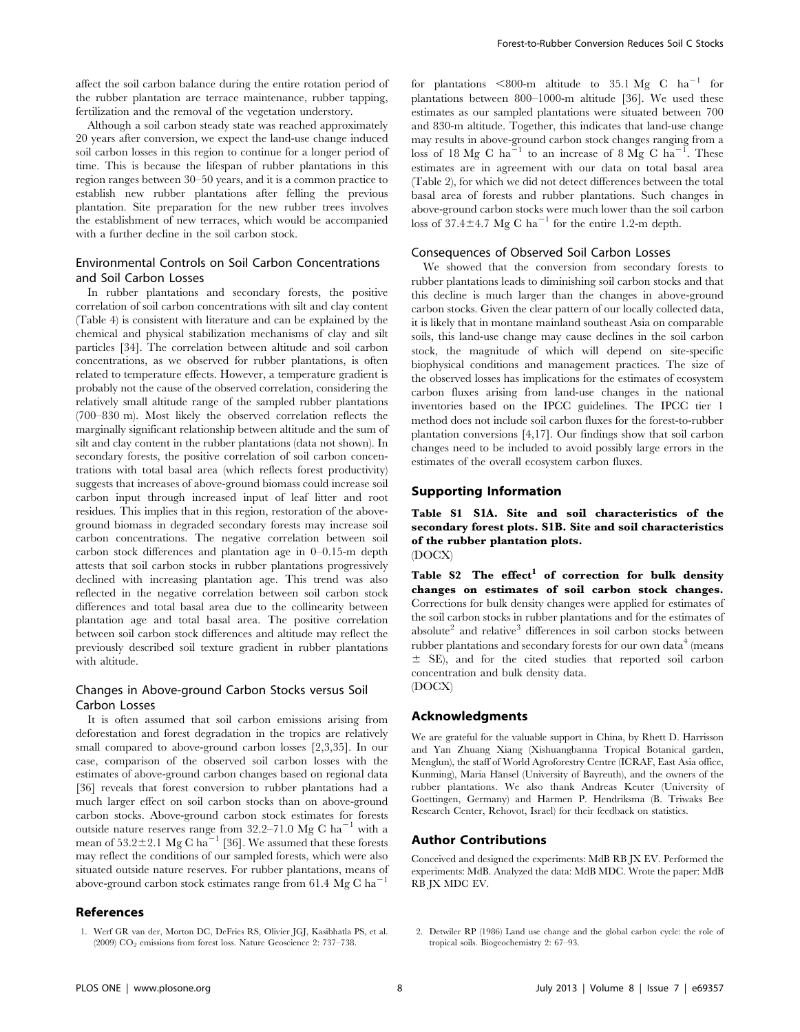affect the soil carbon balance during the entire rotation period of the rubber plantation are terrace maintenance, rubber tapping, fertilization and the removal of the vegetation understory.

Although a soil carbon steady state was reached approximately 20 years after conversion, we expect the land-use change induced soil carbon losses in this region to continue for a longer period of time. This is because the lifespan of rubber plantations in this region ranges between 30–50 years, and it is a common practice to establish new rubber plantations after felling the previous plantation. Site preparation for the new rubber trees involves the establishment of new terraces, which would be accompanied with a further decline in the soil carbon stock.

## Environmental Controls on Soil Carbon Concentrations and Soil Carbon Losses

In rubber plantations and secondary forests, the positive correlation of soil carbon concentrations with silt and clay content (Table 4) is consistent with literature and can be explained by the chemical and physical stabilization mechanisms of clay and silt particles [34]. The correlation between altitude and soil carbon concentrations, as we observed for rubber plantations, is often related to temperature effects. However, a temperature gradient is probably not the cause of the observed correlation, considering the relatively small altitude range of the sampled rubber plantations (700–830 m). Most likely the observed correlation reflects the marginally significant relationship between altitude and the sum of silt and clay content in the rubber plantations (data not shown). In secondary forests, the positive correlation of soil carbon concentrations with total basal area (which reflects forest productivity) suggests that increases of above-ground biomass could increase soil carbon input through increased input of leaf litter and root residues. This implies that in this region, restoration of the aboveground biomass in degraded secondary forests may increase soil carbon concentrations. The negative correlation between soil carbon stock differences and plantation age in 0–0.15-m depth attests that soil carbon stocks in rubber plantations progressively declined with increasing plantation age. This trend was also reflected in the negative correlation between soil carbon stock differences and total basal area due to the collinearity between plantation age and total basal area. The positive correlation between soil carbon stock differences and altitude may reflect the previously described soil texture gradient in rubber plantations with altitude.

## Changes in Above-ground Carbon Stocks versus Soil Carbon Losses

It is often assumed that soil carbon emissions arising from deforestation and forest degradation in the tropics are relatively small compared to above-ground carbon losses [2,3,35]. In our case, comparison of the observed soil carbon losses with the estimates of above-ground carbon changes based on regional data [36] reveals that forest conversion to rubber plantations had a much larger effect on soil carbon stocks than on above-ground carbon stocks. Above-ground carbon stock estimates for forests outside nature reserves range from  $32.2-71.0$  Mg C ha<sup>-1</sup> with a mean of  $53.2\pm2.1$  Mg C ha<sup>-1</sup> [36]. We assumed that these forests may reflect the conditions of our sampled forests, which were also situated outside nature reserves. For rubber plantations, means of above-ground carbon stock estimates range from 61.4 Mg C  $ha^{-1}$ 

## References

for plantations  $<800\text{-m}$  altitude to 35.1 Mg C ha<sup>-1</sup> for plantations between 800–1000-m altitude [36]. We used these estimates as our sampled plantations were situated between 700 and 830-m altitude. Together, this indicates that land-use change may results in above-ground carbon stock changes ranging from a loss of 18 Mg C ha<sup>-1</sup> to an increase of 8 Mg C ha<sup>-1</sup>. These estimates are in agreement with our data on total basal area (Table 2), for which we did not detect differences between the total basal area of forests and rubber plantations. Such changes in above-ground carbon stocks were much lower than the soil carbon loss of  $37.4\pm4.7$  Mg C ha<sup>-1</sup> for the entire 1.2-m depth.

#### Consequences of Observed Soil Carbon Losses

We showed that the conversion from secondary forests to rubber plantations leads to diminishing soil carbon stocks and that this decline is much larger than the changes in above-ground carbon stocks. Given the clear pattern of our locally collected data, it is likely that in montane mainland southeast Asia on comparable soils, this land-use change may cause declines in the soil carbon stock, the magnitude of which will depend on site-specific biophysical conditions and management practices. The size of the observed losses has implications for the estimates of ecosystem carbon fluxes arising from land-use changes in the national inventories based on the IPCC guidelines. The IPCC tier 1 method does not include soil carbon fluxes for the forest-to-rubber plantation conversions [4,17]. Our findings show that soil carbon changes need to be included to avoid possibly large errors in the estimates of the overall ecosystem carbon fluxes.

### Supporting Information

Table S1 S1A. Site and soil characteristics of the secondary forest plots. S1B. Site and soil characteristics of the rubber plantation plots. (DOCX)

Table  $S2$  The effect<sup>1</sup> of correction for bulk density changes on estimates of soil carbon stock changes. Corrections for bulk density changes were applied for estimates of the soil carbon stocks in rubber plantations and for the estimates of absolute<sup>2</sup> and relative<sup>3</sup> differences in soil carbon stocks between rubber plantations and secondary forests for our own data<sup>4</sup> (means  $\pm$  SE), and for the cited studies that reported soil carbon concentration and bulk density data. (DOCX)

#### Acknowledgments

We are grateful for the valuable support in China, by Rhett D. Harrisson and Yan Zhuang Xiang (Xishuangbanna Tropical Botanical garden, Menglun), the staff of World Agroforestry Centre (ICRAF, East Asia office, Kunming), Maria Hänsel (University of Bayreuth), and the owners of the rubber plantations. We also thank Andreas Keuter (University of Goettingen, Germany) and Harmen P. Hendriksma (B. Triwaks Bee Research Center, Rehovot, Israel) for their feedback on statistics.

### Author Contributions

Conceived and designed the experiments: MdB RB JX EV. Performed the experiments: MdB. Analyzed the data: MdB MDC. Wrote the paper: MdB RB JX MDC EV.

2. Detwiler RP (1986) Land use change and the global carbon cycle: the role of tropical soils. Biogeochemistry 2: 67–93.

<sup>1.</sup> Werf GR van der, Morton DC, DeFries RS, Olivier JGJ, Kasibhatla PS, et al. (2009)  $CO<sub>2</sub>$  emissions from forest loss. Nature Geoscience 2: 737–738.